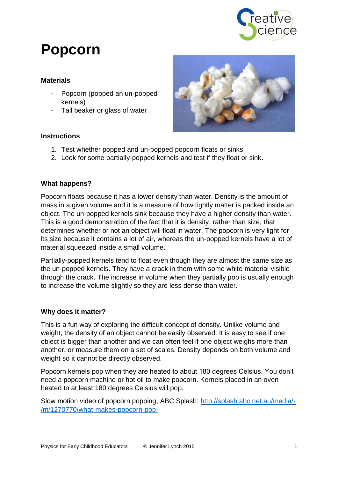

# **Popcorn**

#### **Materials**

- Popcorn (popped an un-popped kernels)
- Tall beaker or glass of water

### **Instructions**



- 1. Test whether popped and un-popped popcorn floats or sinks.
- 2. Look for some partially-popped kernels and test if they float or sink.

#### **What happens?**

Popcorn floats because it has a lower density than water. Density is the amount of mass in a given volume and it is a measure of how tightly matter is packed inside an object. The un-popped kernels sink because they have a higher density than water. This is a good demonstration of the fact that it is density, rather than size, that determines whether or not an object will float in water. The popcorn is very light for its size because it contains a lot of air, whereas the un-popped kernels have a lot of material squeezed inside a small volume.

Partially-popped kernels tend to float even though they are almost the same size as the un-popped kernels. They have a crack in them with some white material visible through the crack. The increase in volume when they partially pop is usually enough to increase the volume slightly so they are less dense than water.

#### **Why does it matter?**

This is a fun way of exploring the difficult concept of density. Unlike volume and weight, the density of an object cannot be easily observed. It is easy to see if one object is bigger than another and we can often feel if one object weighs more than another, or measure them on a set of scales. Density depends on both volume and weight so it cannot be directly observed.

Popcorn kernels pop when they are heated to about 180 degrees Celsius. You don't need a popcorn machine or hot oil to make popcorn. Kernels placed in an oven heated to at least 180 degrees Celsius will pop.

Slow motion video of popcorn popping, ABC Splash: [http://splash.abc.net.au/media/-](http://splash.abc.net.au/media/-/m/1270770/what-makes-popcorn-pop-) [/m/1270770/what-makes-popcorn-pop-](http://splash.abc.net.au/media/-/m/1270770/what-makes-popcorn-pop-)